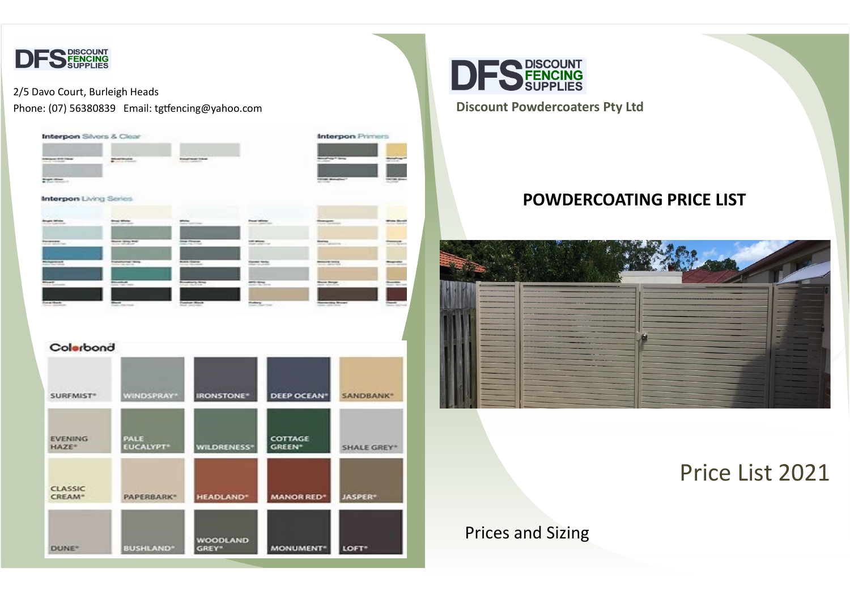

#### 2/5 Davo Court, Burleigh Heads Phone: (07) 56380839 Email: tgtfencing@yahoo.com **Discount Powdercoaters Pty Ltd**





### **POWDERCOATING PRICE LIST**



## Price List 2021

### Prices and Sizing